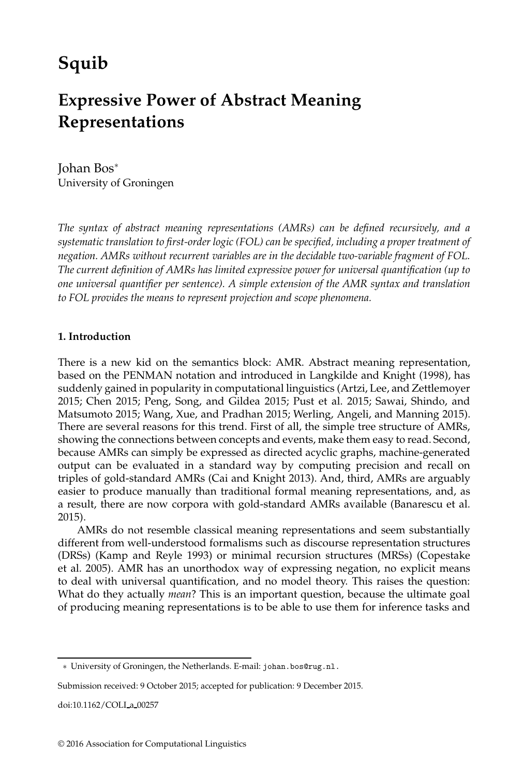# **Squib**

# **Expressive Power of Abstract Meaning Representations**

Johan Bos<sup>∗</sup> University of Groningen

*The syntax of abstract meaning representations (AMRs) can be defined recursively, and a systematic translation to first-order logic (FOL) can be specified, including a proper treatment of negation. AMRs without recurrent variables are in the decidable two-variable fragment of FOL. The current definition of AMRs has limited expressive power for universal quantification (up to one universal quantifier per sentence). A simple extension of the AMR syntax and translation to FOL provides the means to represent projection and scope phenomena.*

## **1. Introduction**

There is a new kid on the semantics block: AMR. Abstract meaning representation, based on the PENMAN notation and introduced in Langkilde and Knight (1998), has suddenly gained in popularity in computational linguistics (Artzi, Lee, and Zettlemoyer 2015; Chen 2015; Peng, Song, and Gildea 2015; Pust et al. 2015; Sawai, Shindo, and Matsumoto 2015; Wang, Xue, and Pradhan 2015; Werling, Angeli, and Manning 2015). There are several reasons for this trend. First of all, the simple tree structure of AMRs, showing the connections between concepts and events, make them easy to read. Second, because AMRs can simply be expressed as directed acyclic graphs, machine-generated output can be evaluated in a standard way by computing precision and recall on triples of gold-standard AMRs (Cai and Knight 2013). And, third, AMRs are arguably easier to produce manually than traditional formal meaning representations, and, as a result, there are now corpora with gold-standard AMRs available (Banarescu et al. 2015).

AMRs do not resemble classical meaning representations and seem substantially different from well-understood formalisms such as discourse representation structures (DRSs) (Kamp and Reyle 1993) or minimal recursion structures (MRSs) (Copestake et al. 2005). AMR has an unorthodox way of expressing negation, no explicit means to deal with universal quantification, and no model theory. This raises the question: What do they actually *mean*? This is an important question, because the ultimate goal of producing meaning representations is to be able to use them for inference tasks and

doi:10.1162/COLI a 00257

<sup>∗</sup> University of Groningen, the Netherlands. E-mail: johan.bos@rug.nl.

Submission received: 9 October 2015; accepted for publication: 9 December 2015.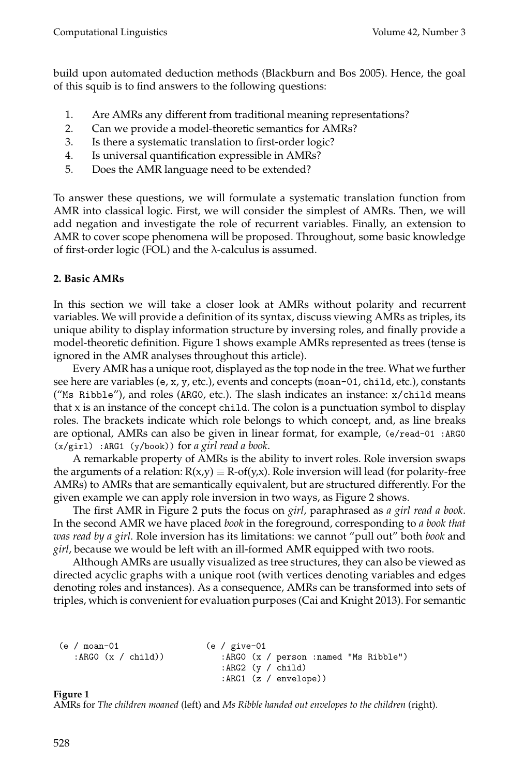build upon automated deduction methods (Blackburn and Bos 2005). Hence, the goal of this squib is to find answers to the following questions:

- 1. Are AMRs any different from traditional meaning representations?
- 2. Can we provide a model-theoretic semantics for AMRs?
- 3. Is there a systematic translation to first-order logic?
- 4. Is universal quantification expressible in AMRs?
- 5. Does the AMR language need to be extended?

To answer these questions, we will formulate a systematic translation function from AMR into classical logic. First, we will consider the simplest of AMRs. Then, we will add negation and investigate the role of recurrent variables. Finally, an extension to AMR to cover scope phenomena will be proposed. Throughout, some basic knowledge of first-order logic (FOL) and the  $\lambda$ -calculus is assumed.

# **2. Basic AMRs**

In this section we will take a closer look at AMRs without polarity and recurrent variables. We will provide a definition of its syntax, discuss viewing AMRs as triples, its unique ability to display information structure by inversing roles, and finally provide a model-theoretic definition. Figure 1 shows example AMRs represented as trees (tense is ignored in the AMR analyses throughout this article).

Every AMR has a unique root, displayed as the top node in the tree. What we further see here are variables (e, x, y, etc.), events and concepts (moan-01, child, etc.), constants ("Ms Ribble"), and roles (ARG0, etc.). The slash indicates an instance: x/child means that  $x$  is an instance of the concept child. The colon is a punctuation symbol to display roles. The brackets indicate which role belongs to which concept, and, as line breaks are optional, AMRs can also be given in linear format, for example,  $(e$ /read-01 :ARG0 (x/girl) :ARG1 (y/book)) for *a girl read a book*.

A remarkable property of AMRs is the ability to invert roles. Role inversion swaps the arguments of a relation:  $R(x,y) \equiv R\text{-}of(y,x)$ . Role inversion will lead (for polarity-free AMRs) to AMRs that are semantically equivalent, but are structured differently. For the given example we can apply role inversion in two ways, as Figure 2 shows.

The first AMR in Figure 2 puts the focus on *girl*, paraphrased as *a girl read a book*. In the second AMR we have placed *book* in the foreground, corresponding to *a book that was read by a girl*. Role inversion has its limitations: we cannot "pull out" both *book* and *girl*, because we would be left with an ill-formed AMR equipped with two roots.

Although AMRs are usually visualized as tree structures, they can also be viewed as directed acyclic graphs with a unique root (with vertices denoting variables and edges denoting roles and instances). As a consequence, AMRs can be transformed into sets of triples, which is convenient for evaluation purposes (Cai and Knight 2013). For semantic

```
(e / moan-01 (e / give-01<br>:ARGO (x / child) ABG :ARGO (x /
                                     :ARGO (x / person :named "Ms Ribble")
                                     :ARG2 (y / child)
                                     :ARG1 (z / envelope))
```
# **Figure 1**

AMRs for *The children moaned* (left) and *Ms Ribble handed out envelopes to the children* (right).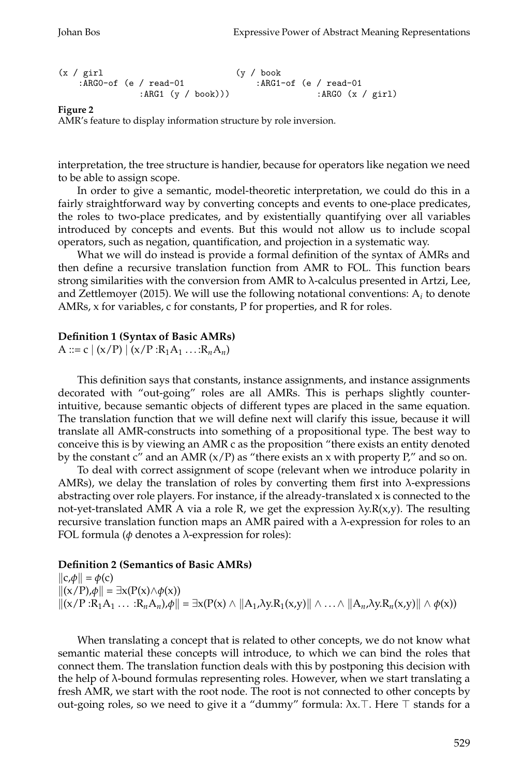```
(x / girl (y / book :ARGO-of (e / read-01 :ARG1
                                   : ARG1-of (e / read-01
              :ARG1 (y / book))) : ARG0 (x / girl)
```
AMR's feature to display information structure by role inversion.

interpretation, the tree structure is handier, because for operators like negation we need to be able to assign scope.

In order to give a semantic, model-theoretic interpretation, we could do this in a fairly straightforward way by converting concepts and events to one-place predicates, the roles to two-place predicates, and by existentially quantifying over all variables introduced by concepts and events. But this would not allow us to include scopal operators, such as negation, quantification, and projection in a systematic way.

What we will do instead is provide a formal definition of the syntax of AMRs and then define a recursive translation function from AMR to FOL. This function bears strong similarities with the conversion from AMR to λ-calculus presented in Artzi, Lee, and Zettlemoyer (2015). We will use the following notational conventions: A*<sup>i</sup>* to denote AMRs, x for variables, c for constants, P for properties, and R for roles.

#### **Definition 1 (Syntax of Basic AMRs)**

A ::= c  $|(x/P) | (x/P : R_1A_1 ... : R_nA_n)|$ 

This definition says that constants, instance assignments, and instance assignments decorated with "out-going" roles are all AMRs. This is perhaps slightly counterintuitive, because semantic objects of different types are placed in the same equation. The translation function that we will define next will clarify this issue, because it will translate all AMR-constructs into something of a propositional type. The best way to conceive this is by viewing an AMR c as the proposition "there exists an entity denoted by the constant c" and an AMR  $(x/P)$  as "there exists an x with property P," and so on.

To deal with correct assignment of scope (relevant when we introduce polarity in AMRs), we delay the translation of roles by converting them first into  $\lambda$ -expressions abstracting over role players. For instance, if the already-translated  $x$  is connected to the not-yet-translated AMR A via a role R, we get the expression  $\lambda y.R(x,y)$ . The resulting recursive translation function maps an AMR paired with a λ-expression for roles to an FOL formula (*φ* denotes a λ-expression for roles):

#### **Definition 2 (Semantics of Basic AMRs)**

 $\|c,\phi\| = \phi(c)$  $\|(x/P), \phi\| = \exists x (P(x) \land \phi(x))$  $\|(x/P:R_1A_1 \ldots:R_nA_n),\phi\| = \exists x(P(x) \land \|A_1,\lambda y.R_1(x,y)\| \land \ldots \land \|A_n,\lambda y.R_n(x,y)\| \land \phi(x))$ 

When translating a concept that is related to other concepts, we do not know what semantic material these concepts will introduce, to which we can bind the roles that connect them. The translation function deals with this by postponing this decision with the help of  $\lambda$ -bound formulas representing roles. However, when we start translating a fresh AMR, we start with the root node. The root is not connected to other concepts by out-going roles, so we need to give it a "dummy" formula:  $λx$ . Here  $\top$  stands for a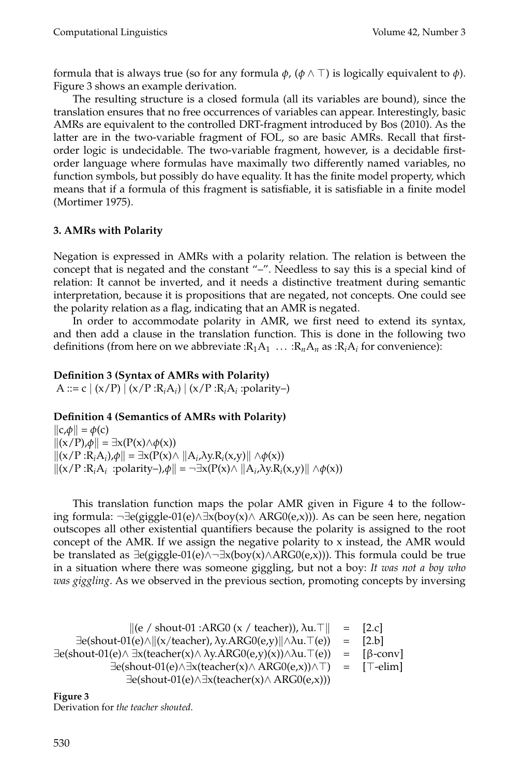formula that is always true (so for any formula  $\phi$ , ( $\phi \wedge \top$ ) is logically equivalent to  $\phi$ ). Figure 3 shows an example derivation.

The resulting structure is a closed formula (all its variables are bound), since the translation ensures that no free occurrences of variables can appear. Interestingly, basic AMRs are equivalent to the controlled DRT-fragment introduced by Bos (2010). As the latter are in the two-variable fragment of FOL, so are basic AMRs. Recall that firstorder logic is undecidable. The two-variable fragment, however, is a decidable firstorder language where formulas have maximally two differently named variables, no function symbols, but possibly do have equality. It has the finite model property, which means that if a formula of this fragment is satisfiable, it is satisfiable in a finite model (Mortimer 1975).

## **3. AMRs with Polarity**

Negation is expressed in AMRs with a polarity relation. The relation is between the concept that is negated and the constant "–". Needless to say this is a special kind of relation: It cannot be inverted, and it needs a distinctive treatment during semantic interpretation, because it is propositions that are negated, not concepts. One could see the polarity relation as a flag, indicating that an AMR is negated.

In order to accommodate polarity in AMR, we first need to extend its syntax, and then add a clause in the translation function. This is done in the following two definitions (from here on we abbreviate : $R_1A_1 \ldots : R_nA_n$  as : $R_iA_i$  for convenience):

## **Definition 3 (Syntax of AMRs with Polarity)**

A ::= c  $|(x/P)|(x/P:R_iA_i)|(x/P:R_iA_i)$  :polarity-)

# **Definition 4 (Semantics of AMRs with Polarity)**

 $\|c,\phi\| = \phi(c)$  $\|(x/P), \phi\| = \exists x (P(x) \land \phi(x))$  $\|(x/P:R_iA_i),\phi\| = \exists x(P(x) \land \|A_i,\lambda y.R_i(x,y)\| \land \phi(x))$  $\|(x/P:R_iA_i):polarity-$ , $\phi\| = \neg \exists x(P(x) \land \|A_i,\lambda y.R_i(x,y)\| \land \phi(x))$ 

This translation function maps the polar AMR given in Figure 4 to the following formula:  $\neg \exists e(giggle-01(e) \land \exists x(boy(x) \land \text{ARG0}(e,x)))$ . As can be seen here, negation outscopes all other existential quantifiers because the polarity is assigned to the root concept of the AMR. If we assign the negative polarity to  $x$  instead, the AMR would be translated as  $\exists$ e(giggle-01(e)∧¬ $\exists$ x(boy(x)∧ARG0(e,x))). This formula could be true in a situation where there was someone giggling, but not a boy: *It was not a boy who was giggling*. As we observed in the previous section, promoting concepts by inversing

$$
\| (e \ / \text{ show-01 : ARG0 (x / teacher)}), \lambda u. \top \| = [2.c]
$$
\n
$$
\exists e(\text{shout-01}(e) \land ||(x/\text{teacher}), \lambda y. \text{ARG0}(e,y)|| \land \lambda u. \top(e)) = [2.b]
$$
\n
$$
\exists e(\text{shout-01}(e) \land \exists x(\text{teacher}(x) \land \lambda y. \text{ARG0}(e,y)(x)) \land \lambda u. \top(e)) = [\beta\text{-conv}]
$$
\n
$$
\exists e(\text{shout-01}(e) \land \exists x(\text{teacher}(x) \land \text{ARG0}(e,x)) \land \top) = [\top\text{-elim}]
$$
\n
$$
\exists e(\text{shout-01}(e) \land \exists x(\text{teacher}(x) \land \text{ARG0}(e,x)))
$$

```
Figure 3
Derivation for the teacher shouted.
```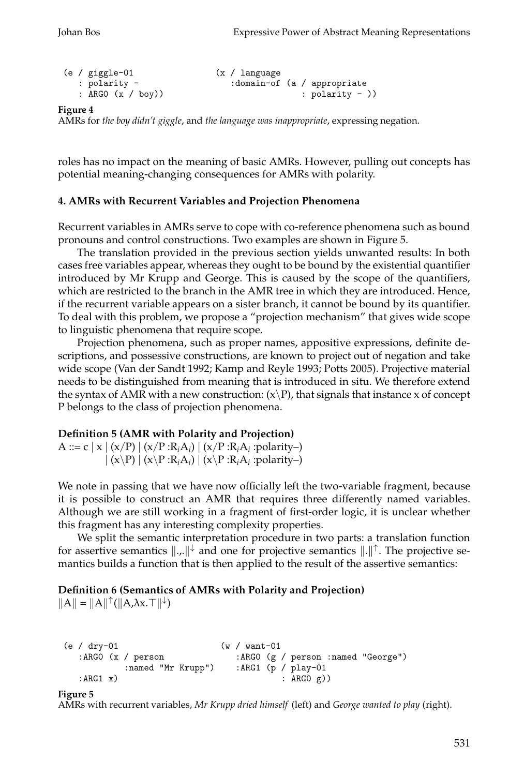```
(e / giggle-01 (x / language
  : polarity - \qquad \qquad : domain-of (a / appropriate
  : ARGO (x / boy)) : polarity - ))
```
AMRs for *the boy didn't giggle*, and *the language was inappropriate*, expressing negation.

roles has no impact on the meaning of basic AMRs. However, pulling out concepts has potential meaning-changing consequences for AMRs with polarity.

## **4. AMRs with Recurrent Variables and Projection Phenomena**

Recurrent variables in AMRs serve to cope with co-reference phenomena such as bound pronouns and control constructions. Two examples are shown in Figure 5.

The translation provided in the previous section yields unwanted results: In both cases free variables appear, whereas they ought to be bound by the existential quantifier introduced by Mr Krupp and George. This is caused by the scope of the quantifiers, which are restricted to the branch in the AMR tree in which they are introduced. Hence, if the recurrent variable appears on a sister branch, it cannot be bound by its quantifier. To deal with this problem, we propose a "projection mechanism" that gives wide scope to linguistic phenomena that require scope.

Projection phenomena, such as proper names, appositive expressions, definite descriptions, and possessive constructions, are known to project out of negation and take wide scope (Van der Sandt 1992; Kamp and Reyle 1993; Potts 2005). Projective material needs to be distinguished from meaning that is introduced in situ. We therefore extend the syntax of AMR with a new construction:  $(x\P)$ , that signals that instance x of concept P belongs to the class of projection phenomena.

## **Definition 5 (AMR with Polarity and Projection)**

A ::= c  $|x| (x/P) | (x/P : R_iA_i) | (x/P : R_iA_i)$ :polarity-)  $\vert (x\backslash P) \vert (x\backslash P : R_iA_i) \vert (x\backslash P : R_iA_i)$ : polarity–)

We note in passing that we have now officially left the two-variable fragment, because it is possible to construct an AMR that requires three differently named variables. Although we are still working in a fragment of first-order logic, it is unclear whether this fragment has any interesting complexity properties.

We split the semantic interpretation procedure in two parts: a translation function for assertive semantics  $\|\cdot\|$  and one for projective semantics  $\|\cdot\|$ <sup> $\uparrow$ </sup>. The projective semantics builds a function that is then applied to the result of the assertive semantics:

# **Definition 6 (Semantics of AMRs with Polarity and Projection)**

 $||A|| = ||A||^{\uparrow}(||A,\lambda x.\top||^{\downarrow})$ 

```
(e / dry-01 (w / want-01 <br>:ARGO (x / person :ARGO (g
                            :ARGO (g / person :named "George")
          :named "Mr Krupp") :ARG1 (p / play-01
  : ARG1 x) : ARG0 g)
```
#### **Figure 5**

AMRs with recurrent variables, *Mr Krupp dried himself* (left) and *George wanted to play* (right).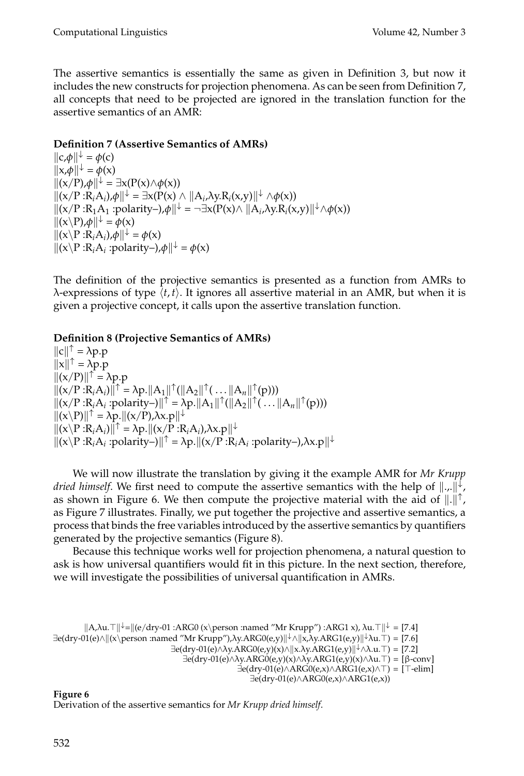The assertive semantics is essentially the same as given in Definition 3, but now it includes the new constructs for projection phenomena. As can be seen from Definition 7, all concepts that need to be projected are ignored in the translation function for the assertive semantics of an AMR:

# **Definition 7 (Assertive Semantics of AMRs)**

 $\|c,\phi\|^{\downarrow} = \phi(c)$  $||x,\phi||^{\downarrow} = \phi(x)$  $\|(x/P), \phi\|^{+} = \exists x (P(x) \land \phi(x))$  $\|(x/P:R_iA_i),\phi\|^{\downarrow} = \exists x(P(x) \land \|A_i,\lambda y.R_i(x,y)\|^{\downarrow} \land \phi(x))$  $\|(x/P:R_1A_1:polarity-),\phi\|^{\downarrow} = \neg \exists x(P(x) \land \|A_i,\lambda y.R_i(x,y)\|^{\downarrow} \land \phi(x))$  $\|(x\backslash P),\phi\|^{+} = \phi(x)$  $\|(\mathbf{x}\backslash \mathbf{P}:\mathbf{R}_i\mathbf{A}_i),\phi\|^{\mathbf{\downarrow}}=\phi(\mathbf{x})$  $\|(x \backslash P : R_i A_i : \text{polarity-}), \phi\| \leq \phi(x)$ 

The definition of the projective semantics is presented as a function from AMRs to  $\lambda$ -expressions of type  $\langle t, t \rangle$ . It ignores all assertive material in an AMR, but when it is given a projective concept, it calls upon the assertive translation function.

# **Definition 8 (Projective Semantics of AMRs)**

 $||c||^{\uparrow} = \lambda p.p$  $||x||^{\uparrow} = \lambda p.p$  $\|(x/P)\|$ <sup> $\uparrow$ </sup> =  $\lambda p.p$  $||(x/P:R_iA_i)||^{\uparrow} = \lambda p. ||A_1||^{\uparrow} (||A_2||^{\uparrow} (\dots ||A_n||^{\uparrow} (p)))$  $\|(x/P:R_iA_i:polarity-)\|^\uparrow = \lambda p. \|A_1\|^\uparrow (\|A_2\|^\uparrow (\dots \|A_n\|^\uparrow (p)))$  $\|(x\backslash P)\|$ <sup> $\uparrow$ </sup> =  $\lambda p$ . $\|(x/P)$ , $\lambda x. p\|$ <sup> $\downarrow$ </sup>  $\|(\mathbf{x}\setminus \mathbf{P}:\mathbf{R}_i\mathbf{A}_i)\|^{\uparrow} = \lambda \mathbf{p}. \|(\mathbf{x}/\mathbf{P}:\mathbf{R}_i\mathbf{A}_i), \lambda \mathbf{x}. \mathbf{p}\|^{\downarrow}$  $||(x\angle P:R_iA_i:polarity-)||^{\uparrow} = \lambda p.||(x/P:R_iA_i:polarity-),\lambda x.p||^{\downarrow}$ 

We will now illustrate the translation by giving it the example AMR for *Mr Krupp dried himself.* We first need to compute the assertive semantics with the help of  $\|\cdot\|$ . as shown in Figure 6. We then compute the projective material with the aid of  $\|\cdot\|^{\uparrow}$ , as Figure 7 illustrates. Finally, we put together the projective and assertive semantics, a process that binds the free variables introduced by the assertive semantics by quantifiers generated by the projective semantics (Figure 8).

Because this technique works well for projection phenomena, a natural question to ask is how universal quantifiers would fit in this picture. In the next section, therefore, we will investigate the possibilities of universal quantification in AMRs.

```
A,λu.↓=(e/dry-01 :ARG0 (x\person :named "Mr Krupp") :ARG1 x), λu.↓ = [7.4]
\existse(dry-01(e)∧\|x\perp person :named "Mr Krupp"),\lambday.ARG0(e,y)\|\n\downarrow \wedge \|x, \lambda y.ARG1(e,y)\|\n\downarrow \wedge u. \top) = [7.6]
                                        \existse(dry-01(e)∧\lambday.ARG0(e,y)(x)∧\|\mathbf{x}.\lambday.ARG1(e,y)\|\downarrow \wedge \lambda.u. \top) = [7.2]
                                            \existse(dry-01(e)∧\lambday.ARG0(e,y)(x)∧\lambday.ARG1(e,y)(x)∧\lambdau.\top) = [β-conv]
                                                               \existse(dry-01(e)∧ARG0(e,x)∧ARG1(e,x)∧\top) = [\top-elim]
                                                                   ∃e(dry-01(e)∧ARG0(e,x)∧ARG1(e,x))
```
## **Figure 6**

Derivation of the assertive semantics for *Mr Krupp dried himself*.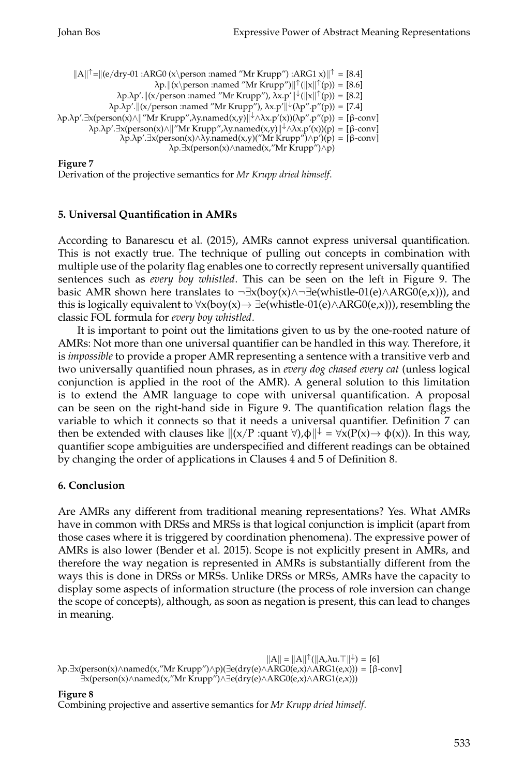```
||A||^{\uparrow} = ||(e/dry-01 : ARG0 (x\perp) \text{person} : \text{named "Mr Krupp")}: ARG1 x)||^{\uparrow} = [8.4]\lambda p. \|(x\perp p \text{ and "Mr Krupp'')}\| \uparrow (\|x\| \uparrow (p)) = [8.6]\lambda p.\lambda p'.\|(x/person \: \:name{named} \: "Mr Krupp"), \: \lambda x.p'\| \n\downarrow (\|x\|^\uparrow(p)) = [8.2]\lambda p.\lambda p'.\| (x/person: named "Mr Krupp"), \lambda x.p'\| \n+ (\lambda p''.p'') p') = [7.4]λp.λp'.∃x(person(x)∧"Mr Krupp",λy.named(x,y)↓∧λx.p'(x))(λp".p"(p)) = [β-conv]
          λp.λp'.∃x(person(x)∧"Mr Krupp",λy.named(x,y)↓∧λx.p'(x))(p) = [β-conv]
                    λp.λp'.∃x(person(x)∧λy.named(x,y)("Mr Krupp")∧p')(p) = [β-conv]
                                     λp.∃x(person(x)∧named(x,"Mr Krupp")∧p)
```
Derivation of the projective semantics for *Mr Krupp dried himself*.

## **5. Universal Quantification in AMRs**

According to Banarescu et al. (2015), AMRs cannot express universal quantification. This is not exactly true. The technique of pulling out concepts in combination with multiple use of the polarity flag enables one to correctly represent universally quantified sentences such as *every boy whistled*. This can be seen on the left in Figure 9. The basic AMR shown here translates to  $\neg \exists x (boy(x) \land \neg \exists e (whistle-01(e) \land ARG0(e,x)))$ , and this is logically equivalent to  $\forall x (boy(x) \rightarrow \exists e (whistle-01(e) \land ARG0(e,x)))$ , resembling the classic FOL formula for *every boy whistled*.

It is important to point out the limitations given to us by the one-rooted nature of AMRs: Not more than one universal quantifier can be handled in this way. Therefore, it is *impossible* to provide a proper AMR representing a sentence with a transitive verb and two universally quantified noun phrases, as in *every dog chased every cat* (unless logical conjunction is applied in the root of the AMR). A general solution to this limitation is to extend the AMR language to cope with universal quantification. A proposal can be seen on the right-hand side in Figure 9. The quantification relation flags the variable to which it connects so that it needs a universal quantifier. Definition 7 can then be extended with clauses like  $\|(x/P \cdot \text{quant } \forall) \phi\|^{\perp} = \forall x(P(x) \to \phi(x))$ . In this way, quantifier scope ambiguities are underspecified and different readings can be obtained by changing the order of applications in Clauses 4 and 5 of Definition 8.

## **6. Conclusion**

Are AMRs any different from traditional meaning representations? Yes. What AMRs have in common with DRSs and MRSs is that logical conjunction is implicit (apart from those cases where it is triggered by coordination phenomena). The expressive power of AMRs is also lower (Bender et al. 2015). Scope is not explicitly present in AMRs, and therefore the way negation is represented in AMRs is substantially different from the ways this is done in DRSs or MRSs. Unlike DRSs or MRSs, AMRs have the capacity to display some aspects of information structure (the process of role inversion can change the scope of concepts), although, as soon as negation is present, this can lead to changes in meaning.

 $||A|| = ||A||^{\uparrow}(||A,\lambda u.\top||^{\downarrow}) = [6]$ λp.∃x(person(x)∧named(x,"Mr Krupp")∧p)(∃e(dry(e)∧ARG0(e,x)∧ARG1(e,x))) = [β-conv] ∃x(person(x)∧named(x,"Mr Krupp")∧∃e(dry(e)∧ARG0(e,x)∧ARG1(e,x)))

**Figure 8**

Combining projective and assertive semantics for *Mr Krupp dried himself*.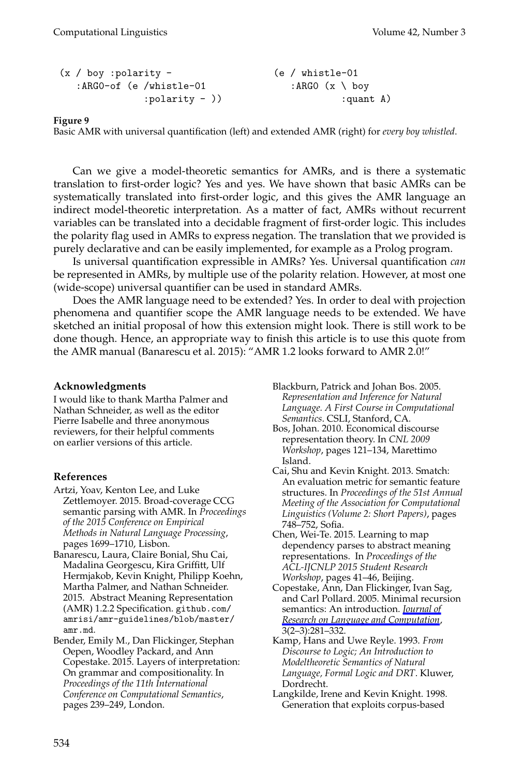```
(x / boy :polarity - (e / whistle-01)
  : ARGO-of (e /whistle-01 :ARGO (x \ boy
          :polarity - ) : quant A)
```
Basic AMR with universal quantification (left) and extended AMR (right) for *every boy whistled*.

Can we give a model-theoretic semantics for AMRs, and is there a systematic translation to first-order logic? Yes and yes. We have shown that basic AMRs can be systematically translated into first-order logic, and this gives the AMR language an indirect model-theoretic interpretation. As a matter of fact, AMRs without recurrent variables can be translated into a decidable fragment of first-order logic. This includes the polarity flag used in AMRs to express negation. The translation that we provided is purely declarative and can be easily implemented, for example as a Prolog program.

Is universal quantification expressible in AMRs? Yes. Universal quantification *can* be represented in AMRs, by multiple use of the polarity relation. However, at most one (wide-scope) universal quantifier can be used in standard AMRs.

Does the AMR language need to be extended? Yes. In order to deal with projection phenomena and quantifier scope the AMR language needs to be extended. We have sketched an initial proposal of how this extension might look. There is still work to be done though. Hence, an appropriate way to finish this article is to use this quote from the AMR manual (Banarescu et al. 2015): "AMR 1.2 looks forward to AMR 2.0!"

#### **Acknowledgments**

I would like to thank Martha Palmer and Nathan Schneider, as well as the editor Pierre Isabelle and three anonymous reviewers, for their helpful comments on earlier versions of this article.

#### **References**

- Artzi, Yoav, Kenton Lee, and Luke Zettlemoyer. 2015. Broad-coverage CCG semantic parsing with AMR. In *Proceedings of the 2015 Conference on Empirical Methods in Natural Language Processing*, pages 1699–1710, Lisbon.
- Banarescu, Laura, Claire Bonial, Shu Cai, Madalina Georgescu, Kira Griffitt, Ulf Hermjakob, Kevin Knight, Philipp Koehn, Martha Palmer, and Nathan Schneider. 2015. Abstract Meaning Representation (AMR) 1.2.2 Specification. github.com/ amrisi/amr-guidelines/blob/master/ amr.md.
- Bender, Emily M., Dan Flickinger, Stephan Oepen, Woodley Packard, and Ann Copestake. 2015. Layers of interpretation: On grammar and compositionality. In *Proceedings of the 11th International Conference on Computational Semantics*, pages 239–249, London.
- Blackburn, Patrick and Johan Bos. 2005. *Representation and Inference for Natural Language. A First Course in Computational Semantics*. CSLI, Stanford, CA.
- Bos, Johan. 2010. Economical discourse representation theory. In *CNL 2009 Workshop*, pages 121–134, Marettimo Island.
- Cai, Shu and Kevin Knight. 2013. Smatch: An evaluation metric for semantic feature structures. In *Proceedings of the 51st Annual Meeting of the Association for Computational Linguistics (Volume 2: Short Papers)*, pages 748–752, Sofia.
- Chen, Wei-Te. 2015. Learning to map dependency parses to abstract meaning representations. In *Proceedings of the ACL-IJCNLP 2015 Student Research Workshop*, pages 41–46, Beijing.
- Copestake, Ann, Dan Flickinger, Ivan Sag, and Carl Pollard. 2005. Minimal recursion semantics: An introduction. *[Journal of](http://www.mitpressjournals.org/action/showLinks?crossref=10.1007%2Fs11168-006-6327-9) [Research on Language and Computation](http://www.mitpressjournals.org/action/showLinks?crossref=10.1007%2Fs11168-006-6327-9)*, 3(2–3):281–332.
- Kamp, Hans and Uwe Reyle. 1993. *From Discourse to Logic; An Introduction to Modeltheoretic Semantics of Natural Language, Formal Logic and DRT*. Kluwer, Dordrecht.
- Langkilde, Irene and Kevin Knight. 1998. Generation that exploits corpus-based